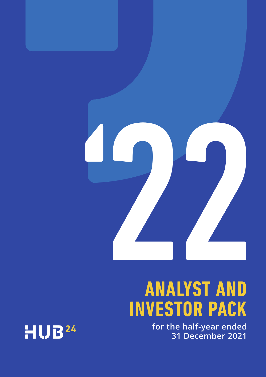

# **ANALYST AND INVESTOR PACK**

**for the half-year ended 31 December 2021**

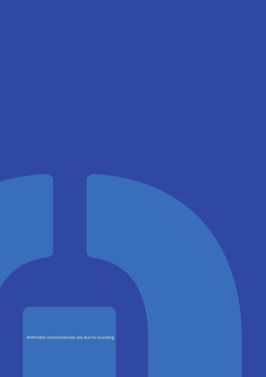Arithmetic inconsistencies are due to rounding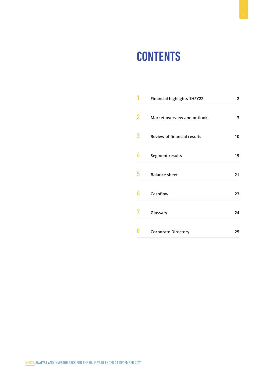## **CONTENTS**

|   | <b>Financial highlights 1HFY22</b> | 2  |
|---|------------------------------------|----|
| 2 | Market overview and outlook        | 3  |
| 3 | <b>Review of financial results</b> | 10 |
| 4 | Segment results                    | 19 |
| 5 | <b>Balance sheet</b>               | 21 |
| ĥ | Cashflow                           | 23 |
|   | Glossary                           | 24 |
| Н | <b>Corporate Directory</b>         | 25 |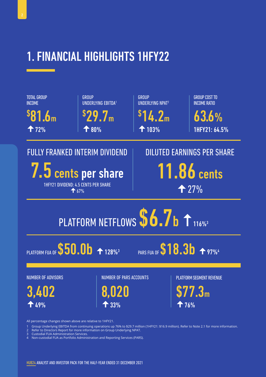

All percentage changes shown above are relative to 1HFY21.

1 Group Underlying EBITDA from continuing operations up 76% to \$29.7 million (1HFY21: \$16.9 million). Refer to Note 2.1 for more information.

Refer to Directors Report for more information on Group Underlying NPAT.

3 Custodial FUA Administration Services.

4 Non-custodial FUA as Portfolio Administration and Reporting Services (PARS).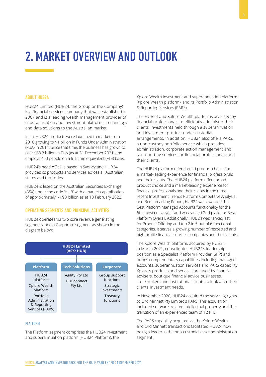## 2. MARKET OVERVIEW AND OUTLOOK

#### ABOUT HUB24

HUB24 Limited (HUB24, the Group or the Company) is a financial services company that was established in 2007 and is a leading wealth management provider of superannuation and investment platforms, technology and data solutions to the Australian market.

Initial HUB24 products were launched to market from 2010 growing to \$1 billion in Funds Under Administration (FUA) in 2014. Since that time, the business has grown to over \$68.3 billion in FUA (as at 31 December 2021) and employs 460 people on a full-time equivalent (FTE) basis.

HUB24's head office is based in Sydney and HUB24 provides its products and services across all Australian states and territories.

HUB24 is listed on the Australian Securities Exchange (ASX) under the code 'HUB' with a market capitalisation of approximately \$1.90 billion as at 18 February 2022.

#### OPERATING SEGMENTS AND PRINCIPAL ACTIVITIES

HUB24 operates via two core revenue generating segments, and a Corporate segment as shown in the diagram below:



#### PI ATFORM

The Platform segment comprises the HUB24 investment and superannuation platform (HUB24 Platform), the

Xplore Wealth investment and superannuation platform (Xplore Wealth platform), and its Portfolio Administration & Reporting Services (PARS).

The HUB24 and Xplore Wealth platforms are used by financial professionals to efficiently administer their clients' investments held through a superannuation and investment product under custodial arrangements. In addition, HUB24 also offers PARS, a non-custody portfolio service which provides administration, corporate action management and tax reporting services for financial professionals and their clients.

The HUB24 platform offers broad product choice and a market-leading experience for financial professionals and their clients. The HUB24 platform offers broad product choice and a market-leading experience for financial professionals and their clients In the most recent Investment Trends Platform Competitive Analysis and Benchmarking Report, HUB24 was awarded the Best Platform Managed Accounts functionality for the 6th consecutive year and was ranked 2nd place for Best Platform Overall. Additionally, HUB24 was ranked 1st for Product Offering and top 2 in 5 out of 6 functional categories. It serves a growing number of respected and high-profile financial services companies and their clients.

The Xplore Wealth platform, acquired by HUB24 in March 2021, consolidates HUB24's leadership position as a Specialist Platform Provider (SPP) and brings complementary capabilities including managed accounts, superannuation services and PARS capability. Xplore's products and services are used by financial advisers, boutique financial advice businesses, stockbrokers and institutional clients to look after their clients' investment needs.

In November 2020, HUB24 acquired the servicing rights to Ord Minnett Pty Limited's PARS. This acquisition included software, related intellectual property and the transition of an experienced team of 12 FTE.

The PARS capability acquired via the Xplore Wealth and Ord Minnett transactions facilitated HUB24 now being a leader in the non-custodial asset administration segment.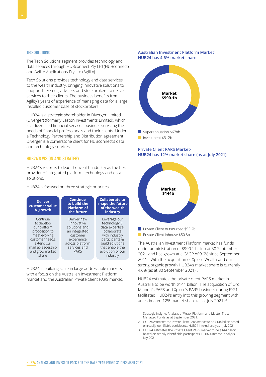#### TECH SOLUTIONS

The Tech Solutions segment provides technology and data services through HUBconnect Pty Ltd (HUBconnect) and Agility Applications Pty Ltd (Agility).

Tech Solutions provides technology and data services to the wealth industry, bringing innovative solutions to support licensees, advisers and stockbrokers to deliver services to their clients. The business benefits from Agility's years of experience of managing data for a large installed customer base of stockbrokers.

HUB24 is a strategic shareholder in Diverger Limited (Diverger) (formerly Easton Investments Limited), which is a diversified financial services business servicing the needs of financial professionals and their clients. Under a Technology Partnership and Distribution agreement Diverger is a cornerstone client for HUBconnect's data and technology services.

#### HUB24'S VISION AND STRATEGY

HUB24's vision is to lead the wealth industry as the best provider of integrated platform, technology and data solutions.

HUB24 is focused on three strategic priorities:



HUB24 is building scale in large addressable markets with a focus on the Australian Investment Platform market and the Australian Private Client PARS market.

#### **Australian Investment Platform Market1 HUB24 has 4.6% market share**



#### **Private Client PARS Market2 HUB24 has 12% market share (as at July 2021)**



**Private Client inhouse \$50.8b** 

The Australian Investment Platform market has funds under administration of \$990.1 billion at 30 September 2021 and has grown at a CAGR of 9.6% since September 20111 . With the acquisition of Xplore Wealth and our strong organic growth HUB24's market share is currently 4.6% (as at 30 September 2021)<sup>1</sup>.

HUB24 estimates the private client PARS market in Australia to be worth \$144 billion. The acquisition of Ord Minnett's PARS and Xplore's PARS business during FY21 facilitated HUB24's entry into this growing segment with an estimated 12% market share (as at July 2021).<sup>3</sup>

<sup>1</sup> Strategic Insights Analysis of Wrap, Platform and Master Trust Managed Funds as at September 2021.

<sup>2</sup> HUB24 estimates the Private Client PARS market to be \$144 billion based on readily identifiable participants. HUB24 Internal analysis – July 2021.

<sup>3</sup> HUB24 estimates the Private Client PARS market to be \$144 billion based on readily identifiable participants. HUB24 Internal analysis – July 2021.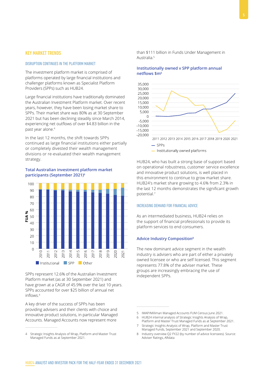#### KEY MARKET TRENDS

#### DISRUPTION CONTINUES IN THE PLATFORM MARKET

The investment platform market is comprised of platforms operated by large financial institutions and challenger platforms known as Specialist Platform Providers (SPPs) such as HUB24.

Large financial institutions have traditionally dominated the Australian Investment Platform market. Over recent years, however, they have been losing market share to SPPs. Their market share was 80% as at 30 September 2021 but has been declining steadily since March 2014, experiencing net outflows of over \$4.83 billion in the past year alone.<sup>4</sup>

In the last 12 months, the shift towards SPPs continued as large financial institutions either partially or completely divested their wealth management divisions or re-evaluated their wealth management strategy.

#### **Total Australian investment platform market participants (September 2021)6**



SPPs represent 12.6% of the Australian Investment Platform market (as at 30 September 2021) and have grown at a CAGR of 45.9% over the last 10 years. SPPs accounted for over \$25 billion of annual net inflows.<sup>4</sup>

A key driver of the success of SPPs has been providing advisers and their clients with choice and innovative product solutions, in particular Managed Accounts. Managed Accounts now represent more

than \$111 billion in Funds Under Management in Australia.5

#### **Institutionally owned v SPP platform annual netflows \$m<sup>6</sup>**



HUB24, who has built a strong base of support based on operational robustness, customer service excellence and innovative product solutions, is well placed in this environment to continue to grow market share. HUB24's market share growing to 4.6% from 2.3% in the last 12 months demonstrates the significant growth potential.<sup>7</sup>

#### INCREASING DEMAND FOR FINANCIAL ADVICE

As an intermediated business, HUB24 relies on the support of financial professionals to provide its platform services to end consumers.

#### **Advice Industry Composition8**

The new dominant advice segment in the wealth industry is advisers who are part of either a privately owned licensee or who are self licensed. This segment represents 77.8% of the adviser market. These groups are increasingly embracing the use of independent SPPs.

<sup>4</sup> Strategic Insights Analysis of Wrap, Platform and Master Trust Managed Funds as at September 2021.

<sup>5</sup> IMAP/Milliman Managed Accounts FUM Census June 2021.

<sup>6</sup> HUB24 internal analysis of Strategic Insights Analysis of Wrap, Platform and Master Trust Managed Funds as at September 2021.

<sup>7</sup> Strategic Insights Analysis of Wrap, Platform and Master Trust Managed Funds, September 2021 and September 2020.

<sup>8</sup> Industry overview Q2 FY22 (by number of advice licensees). Source: Adviser Ratings, ARdata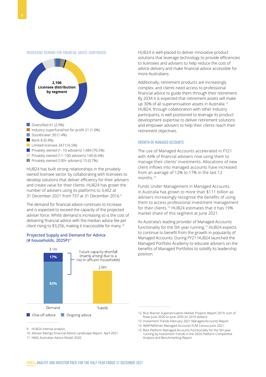

**Privately owned (100+ advisers) 15 (0.7%)** 

HUB24 has built strong relationships in the privatelyowned licensee sector by collaborating with licensees to develop solutions that deliver efficiency for their advisers and create value for their clients. HUB24 has grown the number of advisers using its platforms to 3,402 at 31 December 2021 from 737 at 31 December 2016.9

The demand for financial advice continues to increase and is expected to exceed the capacity of the projected adviser force. Whilst demand is increasing so is the cost of delivering financial advice with the median advice fee per client rising to \$3,256, making it inaccessible for many.<sup>10</sup>

#### **Projected Supply and Demand for Advice (# households, 2025P)11**



9 HUB24 internal analysis.

10 Adviser Ratings Financial Advice Landscape Report April 2021.

11 NMG Australian Advice Model 2020.

HUB24 is well-placed to deliver innovative product solutions that leverage technology to provide efficiencies to licensees and advisers to help reduce the cost of advice delivery and make financial advice accessible for more Australians.

Additionally, retirement products are increasingly complex, and clients need access to professional financial advice to guide them through their retirement. By 2034 it is expected that retirement assets will make up 30% of all superannuation assets in Australia.<sup>12</sup> HUB24, through collaboration with other industry participants, is well positioned to leverage its product development expertise to deliver retirement solutions and empower advisers to help their clients reach their retirement objectives.

#### GROWTH OF MANAGED ACCOUNTS

The use of Managed Accounts accelerated in FY21 with 44% of financial advisers now using them to manage their clients' investments. Allocations of new client inflows into managed accounts have increased from an average of 12% to 17% in the last 12 months.13

Funds Under Management in Managed Accounts in Australia has grown to more than \$111 billion as advisers increasingly recognise the benefits of using them to access professional investment management for their clients.<sup>14</sup> HUB24 estimates that it has 19% market share of this segment at June 2021.

As Australia's leading provider of Managed Accounts functionality for the 5th year running,<sup>15</sup> HUB24 expects to continue to benefit from the growth in popularity of Managed Accounts. During FY21 HUB24 launched the Managed Portfolio Academy to educate advisers on the benefits of Managed Portfolios to solidify its leadership position.

- 13 Investment Trends February 2021 Managed Accounts Report.
- 14 IMAP/Milliman Managed Accounts FUM Census June 2021.

15 Best Platform Managed Accounts Functionality for the 5th year running by Investment Trends in the 2020 Platform Competitive Analysis and Benchmarking Report.

<sup>12</sup> Rice Warner Superannuation Market Projects Report 2019, sum of flows June 2020 to June 2035 (in 2019 dollars).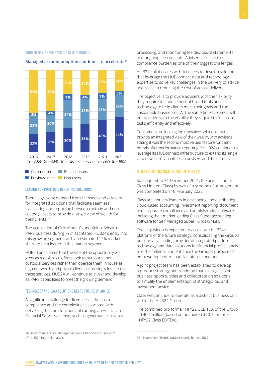#### GROWTH OF MANAGED ACCOUNTS (CONTINUED)



#### **Managed account adoption continues to accelerate16**

#### DEMAND FOR PORTFOLIO REPORTING SOLUTIONS

There is growing demand from licensees and advisers for integrated solutions that facilitate seamless transacting and reporting between custody and noncustody assets to provide a single view of wealth for their clients.<sup>17</sup>

The acquisition of Ord Minnett's and Xplore Wealth's PARS business during FY21 facilitated HUB24's entry into this growing segment, with an estimated 12% market share to be a leader in this market segment.

HUB24 anticipates that the size of the opportunity will grow as stockbroking firms look to outsource noncustodial services rather than operate them inhouse as high net-worth and private clients increasingly look to use these services. HUB24 will continue to invest and develop its PARS capabilities to meet the growing demand.

#### TECHNOLOGY AND DATA SOLUTIONS KEY TO FUTURE OF ADVICE

A significant challenge for licensees is the cost of compliance and the complexities associated with delivering the core functions of running an Australian Financial Services license, such as governance, revenue processing, and monitoring fee disclosure statements and ongoing fee consents. Advisers also cite the compliance burden as one of their biggest challenges.

HUB24 collaborates with licensees to develop solutions that leverage the HUBconnect data and technology expertise to solve key challenges in the delivery of advice and assist in reducing the cost of advice delivery.

The objective is to provide advisers with the flexibility they require to choose best of breed tools and technology to help clients meet their goals and run sustainable businesses. At the same time licensees will be provided with the visibility they require to fulfil core tasks efficiently and effectively.

Consumers are looking for innovative solutions that provide an integrated view of their wealth, with advisers stating it was the second most valued feature for client portals after performance reporting.18 HUB24 continues to leverage its HUBconnect infrastructure to extend its 'single view of wealth' capabilities to advisers and their clients.

#### STRATEGIC TRANSACTIONS IN 1HFY22

Subsequent to 31 December 2021, the acquisition of Class Limited (Class) by way of a scheme of arrangement was completed on 16 February 2022.

Class are industry leaders in developing and distributing cloud-based accounting, investment reporting, document and corporate compliance and administration software, Including their market leading Class Super accounting software for Self Managed Super Funds (SMSF).

The acquisition is expected to accelerate HUB24's platform of the future strategy, consolidating the Group's position as a leading provider of integrated platforms, technology and data solutions for financial professionals and their clients, and enhance the Group's purpose of empowering better financial futures together.

A joint project team has been established to develop a product strategy and roadmap that leverages joint business opportunities and collaborate on solutions to simplify the implementation of strategic, tax and investment advice.

Class will continue to operate as a distinct business unit within the HUB24 Group.

The combined pro forma 1HFY22 UEBITDA of the Group is \$40.4 million (based on unaudited \$10.7 million of 1HFY22 Class EBITDA).

<sup>16</sup> Investment Trends Managed Accounts Report February 2021.

<sup>17</sup> HUB24 internal analysis.

<sup>18</sup> Investment Trends Adviser Needs Report 2021.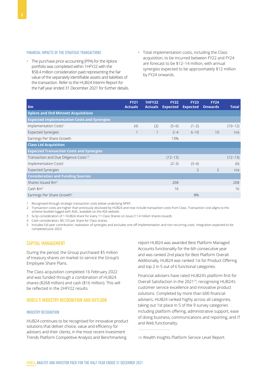#### FINANCIAL IMPACTS OF THE STRATEGIC TRANSACTIONS

- The purchase price accounting (PPA) for the Xplore portfolio was completed within 1HFY22 with the \$58.4 million consideration paid representing the fair value of the separately identifiable assets and liabilities of the transaction. Refer to the HUB24 Interim Report for the half year ended 31 December 2021 for further details.
- Total implementation costs, including the Class acquisition, to be incurred between FY22 and FY24 are forecast to be \$12–14 million, with annual synergies expected to be approximately \$12 million by FY24 onwards.

| \$m                                                | <b>FY21</b><br><b>Actuals</b> | <b>1HFY22</b><br><b>Actuals</b> | <b>FY22</b><br><b>Expected</b> | <b>FY23</b><br><b>Expected</b> | <b>FY24</b><br><b>Onwards</b> | <b>Total</b> |
|----------------------------------------------------|-------------------------------|---------------------------------|--------------------------------|--------------------------------|-------------------------------|--------------|
| <b>Xplore and Ord Minnett Acquisitions</b>         |                               |                                 |                                |                                |                               |              |
| <b>Expected Implementation Costs and Synergies</b> |                               |                                 |                                |                                |                               |              |
| Implementation Costs <sup>1</sup>                  | (4)                           | (2)                             | $(5-6)$                        | $(1-2)$                        |                               | $(10-12)$    |
| <b>Expected Synergies</b>                          | $\mathbf 1$                   | $\mathbf 1$                     | $2 - 4$                        | $6 - 10$                       | 10                            | n/a          |
| Earnings Per Share Growth                          |                               |                                 | 13%                            |                                |                               |              |
| <b>Class Ltd Acquisition</b>                       |                               |                                 |                                |                                |                               |              |
| <b>Expected Transaction Costs and Synergies</b>    |                               |                                 |                                |                                |                               |              |
| Transaction and Due Diligence Costs <sup>1,2</sup> |                               |                                 | $(12-13)$                      |                                |                               | $(12-13)$    |
| Implementation Costs <sup>1</sup>                  |                               |                                 | $(2-3)$                        | $(3-4)$                        |                               | (6)          |
| <b>Expected Synergies</b>                          |                               |                                 |                                | $\overline{\phantom{0}}$       | $\mathcal{L}$                 | n/a          |
| <b>Consideration and Funding Sources</b>           |                               |                                 |                                |                                |                               |              |
| Shares Issued \$m <sup>3</sup>                     |                               |                                 | 268                            |                                |                               | 268          |
| Cash $\mathsf{Sm}^4$                               |                               |                                 | 16                             |                                |                               | 16           |
| Earnings Per Share Growth <sup>5</sup>             |                               |                                 |                                | 8%                             |                               |              |

1 Recognised through strategic transaction costs below underlying NPAT.

2 Transaction costs are higher than previously disclosed by HUB24 and now include transaction costs from Class. Transaction cost aligns to the scheme booklet logged with ASIC, available on the ASX website.

3 Scrip consideration of 1 HUB24 share for every 11 Class Shares on issue (11.4 million shares issued).

4 Cash consideration, \$0.125 per share for Class shares.

5 Includes full year contribution, realisation of synergies and excludes one-off implementation and non-recurring costs. Integration expected to be completed June 2023.

#### CAPITAL MANAGEMENT

During the period, the Group purchased \$5 million of treasury shares on market to service the Group's Employee Share Plans.

The Class acquisition completed 16 February 2022 and was funded through a combination of HUB24 shares (\$268 million) and cash (\$16 million). This will be reflected in the 2HFY22 results.

#### HUB24'S INDUSTRY RECOGNITION AND OUTLOOK

#### INDUSTRY RECOGNITION

HUB24 continues to be recognised for innovative product solutions that deliver choice, value and efficiency for advisers and their clients, in the most recent Investment Trends Platform Competitive Analysis and Benchmarking

report HUB24 was awarded Best Platform Managed Accounts functionality for the 6th consecutive year and was ranked 2nd place for Best Platform Overall. Additionally, HUB24 was ranked 1st for Product Offering and top 2 in 5 out of 6 functional categories.

Financial advisers have rated HUB24's platform first for Overall Satisfaction in the 202119, recognising HUB24's customer service excellence and innovative product solutions. Completed by more than 600 financial advisers, HUB24 ranked highly across all categories, taking out 1st place in 5 of the 9 survey categories including platform offering, administrative support, ease of doing business, communications and reporting, and IT and Web functionality.

<sup>19</sup> Wealth Insights Platform Service Level Report.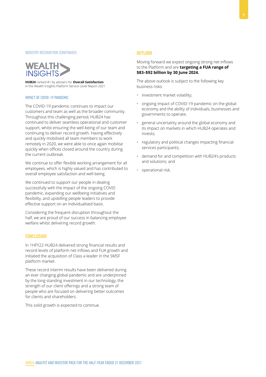#### INDUSTRY RECOGNITION (CONTINUED)

## **WEALTH INSIGHTS**

**HUB24** ranked #1 by advisers for **Overall Satisfaction** in the Wealth Insights Platform Service Level Report 2021

#### IMPACT OF COVID-19 PANDEMIC

The COVID-19 pandemic continues to impact our customers and team as well as the broader community. Throughout this challenging period, HUB24 has continued to deliver seamless operational and customer support, whilst ensuring the well-being of our team and continuing to deliver record growth. Having effectively and quickly mobilised all team members to work remotely in 2020, we were able to once again mobilise quickly when offices closed around the country during the current outbreak.

We continue to offer flexible working arrangement for all employees, which is highly valued and has contributed to overall employee satisfaction and well-being.

We continued to support our people in dealing successfully with the impact of the ongoing COVID pandemic, expanding our wellbeing initiatives and flexibility, and upskilling people leaders to provide effective support on an individualised basis.

Considering the frequent disruption throughout the half, we are proud of our success in balancing employee welfare whilst delivering record growth.

#### **CONCLUSION**

In 1HFY22 HUB24 delivered strong financial results and record levels of platform net inflows and FUA growth and initiated the acquisition of Class a leader in the SMSF platform market.

These record interim results have been delivered during an ever changing global pandemic and are underpinned by the long-standing investment in our technology, the strength of our client offerings and a strong team of people who are focused on delivering better outcomes for clients and shareholders.

This solid growth is expected to continue.

#### **OUTLOOK**

Moving forward we expect ongoing strong net inflows to the Platform and are **targeting a FUA range of \$83–\$92 billion by 30 June 2024.**

The above outlook is subject to the following key business risks:

- investment market volatility;
- ongoing impact of COVID-19 pandemic on the global economy and the ability of individuals, businesses and governments to operate;
- general uncertainty around the global economy and its impact on markets in which HUB24 operates and invests;
- regulatory and political changes impacting financial services participants;
- demand for and competition with HUB24's products and solutions; and
- operational risk.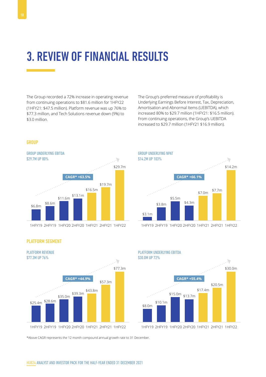The Group recorded a 72% increase in operating revenue from continuing operations to \$81.6 million for 1HFY22 (1HFY21: \$47.5 million). Platform revenue was up 76% to \$77.3 million, and Tech Solutions revenue down (9%) to \$3.0 million.

The Group's preferred measure of profitability is Underlying Earnings Before Interest, Tax, Depreciation, Amortisation and Abnormal Items (UEBITDA), which increased 80% to \$29.7 million (1HFY21: \$16.5 million). From continuing operations, the Group's UEBITDA increased to \$29.7 million (1HFY21 \$16.9 million).



1HFY19 2HFY19 1HFY19 1HFY20 2HFY19 2HFY20 1HFY20



PLATFORM SEGMENT



1HFY21 2HFY20 2HFY21 1HFY21 1HFY22 2HFY21 1HFY22

PLATFORM UNDERLYING EBITDA



\*Above CAGR represents the 12 month compound annual growth rate to 31 December.

### **GROUP**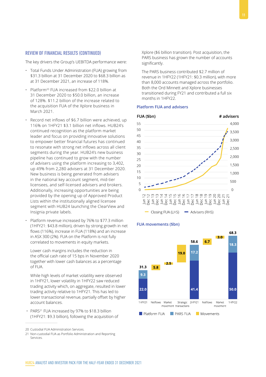## REVIEW OF FINANCIAL RESULTS (CONTINUED)

The key drivers the Group's UEBITDA performance were:

- Total Funds Under Administration (FUA) growing from \$31.3 billion at 31 December 2020 to \$68.3 billion as at 31 December 2021, an increase of 118%.
- Platform<sup>20</sup> FUA increased from \$22.0 billion at 31 December 2020 to \$50.0 billion, an increase of 128%. \$11.2 billion of the increase related to the acquisition FUA of the Xplore business in March 2021.
- Record net inflows of \$6.7 billion were achieved, up 116% on 1HFY21 \$3.1 billion net inflows. HUB24's continued recognition as the platform market leader and focus on providing innovative solutions to empower better financial futures has continued to resonate with strong net inflows across all client segments during the year. HUB24's new business pipeline has continued to grow with the number of advisers using the platform increasing to 3,402, up 49% from 2,280 advisers at 31 December 2020. New business is being generated from advisers in the national key account segment, mid-tier licensees, and self-licensed advisers and brokers. Additionally, increasing opportunities are being provided by the opening up of Approved Product Lists within the institutionally aligned licensee segment with HUB24 launching the ClearView and Insignia private labels.
- Platform revenue increased by 76% to \$77.3 million (1HFY21: \$43.8 million), driven by strong growth in net flows (116%), increase in FUA (118%) and an increase in ASX 300 (2%). FUA on the Platform is not fully correlated to movements in equity markets.

Lower cash margins includes the reduction in the official cash rate of 15 bps in November 2020 together with lower cash balances as a percentage of FUA.

While high levels of market volatility were observed in 1HFY21, lower volatility in 1HFY22 saw reduced trading activity which, on aggregate, resulted in lower trading activity relative to 1HFY21. This has led to lower transactional revenue, partially offset by higher account balances.

• PARS<sup>21</sup> FUA increased by 97% to \$18.3 billion (1HFY21: \$9.3 billion), following the acquisition of Xplore (\$6 billion transition). Post acquisition, the PARS business has grown the number of accounts significantly.

The PARS business contributed \$2.7 million of revenue in 1HFY22 (1HFY21: \$0.3 million), with more than 8,000 accounts managed across the portfolio. Both the Ord Minnett and Xplore businesses transitioned during FY21 and contributed a full six months in 1HFY22.

#### **Platform FUA and advisers**



#### **FUA movements (\$bn)**



<sup>20</sup> Custodial FUA Administration Services.

<sup>21</sup> Non-custodial FUA as Portfolio Administration and Reporting Services.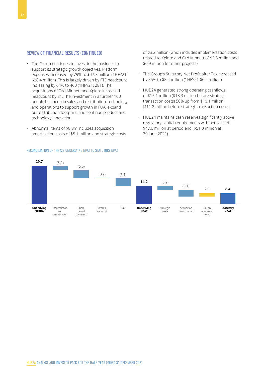#### REVIEW OF FINANCIAL RESULTS (CONTINUED)

- The Group continues to invest in the business to support its strategic growth objectives. Platform expenses increased by 79% to \$47.3 million (1HFY21: \$26.4 million). This is largely driven by FTE headcount increasing by 64% to 460 (1HFY21: 281). The acquisitions of Ord Minnett and Xplore increased headcount by 81. The investment in a further 100 people has been in sales and distribution, technology, and operations to support growth in FUA, expand our distribution footprint, and continue product and technology innovation.
- Abnormal items of \$8.3m includes acquisition amortisation costs of \$5.1 million and strategic costs

of \$3.2 million (which includes implementation costs related to Xplore and Ord Minnett of \$2.3 million and \$0.9 million for other projects).

- The Group's Statutory Net Profit after Tax increased by 35% to \$8.4 million (1HFY21 \$6.2 million).
- HUB24 generated strong operating cashflows of \$15.1 million (\$18.3 million before strategic transaction costs) 50% up from \$10.1 million (\$11.8 million before strategic transaction costs)
- HUB24 maintains cash reserves significantly above regulatory capital requirements with net cash of \$47.0 million at period end (\$51.0 million at 30 June 2021).



#### RECONCILIATION OF 1HFY22 UNDERLYING NPAT TO STATUTORY NPAT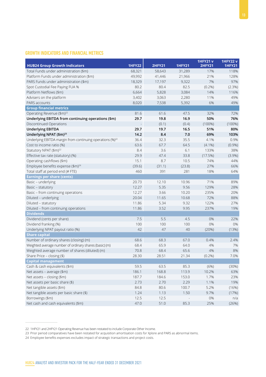### GROWTH INDICATORS AND FINANCIAL METRICS

|                                                                       |               |               |               | <b>1HFY21 v</b> | <b>1HFY22v</b> |
|-----------------------------------------------------------------------|---------------|---------------|---------------|-----------------|----------------|
| <b>HUB24 Group Growth Indicators</b>                                  | <b>1HFY22</b> | <b>2HFY21</b> | <b>1HFY21</b> | <b>2HFY21</b>   | <b>1HFY21</b>  |
| Total Funds under administration (\$m)                                | 68,321        | 58,643        | 31,289        | 17%             | 118%           |
| Platform Funds under administration (\$m)                             | 49,992        | 41,446        | 21,966        | 21%             | 128%           |
| PARS Funds under administration (\$m)                                 | 18,329        | 17,197        | 9,322         | 7%              | 97%            |
| Spot Custodial Fee Paying FUA %                                       | 80.2          | 80.4          | 82.5          | (0.2%)          | (2.3%)         |
| Platform Netflows (\$m)                                               | 6,664         | 5,828         | 3,084         | 14%             | 116%           |
| Advisers on the platform                                              | 3,402         | 3,063         | 2,280         | 11%             | 49%            |
| PARS accounts                                                         | 8,020         | 7,538         | 5,392         | 6%              | 49%            |
| <b>Group financial metrics</b>                                        |               |               |               |                 |                |
| Operating Revenue (\$m) <sup>22</sup>                                 | 81.6          | 61.6          | 47.5          | 32%             | 72%            |
| Underlying EBITDA from continuing operations (\$m)                    | 29.7          | 19.8          | 16.9          | 50%             | 76%            |
| Discontinued Operations                                               |               | (0.1)         | (0.4)         | (100%)          | $(100\%)$      |
| <b>Underlying EBITDA</b>                                              | 29.7          | 19.7          | 16.5          | 51%             | 80%            |
| Underlying NPAT (\$m) <sup>23</sup>                                   | 14.2          | 8.4           | 7.0           | 69%             | 103%           |
| Underlying EBITDA margin from continuing operations (%) <sup>22</sup> | 36.4          | 32.3          | 35.5          | 4.1%            | 0.9%           |
| Cost to income ratio (%)                                              | 63.6          | 67.7          | 64.5          | $(4.1\%)$       | (0.9%)         |
| Statutory NPAT (\$m) <sup>22</sup>                                    | 8.4           | 3.6           | 6.1           | 133%            | 38%            |
| Effective tax rate (statutory) (%)                                    | 29.9          | 47.4          | 33.8          | (17.5%)         | (3.9%)         |
| Operating cashflows (\$m)                                             | 15.1          | 8.7           | 10.5          | 74%             | 44%            |
| Employee benefits expense (\$m) <sup>24</sup>                         | (39.6)        | (31.1)        | (23.8)        | 27%             | 66%            |
| Total staff at period end (# FTE)                                     | 460           | 391           | 281           | 18%             | 64%            |
| <b>Earnings per share (cents)</b>                                     |               |               |               |                 |                |
| Basic - underlying                                                    | 20.73         | 12.10         | 10.96         | 71%             | 89%            |
| Basic - statutory                                                     | 12.27         | 5.35          | 9.56          | 129%            | 28%            |
| Basic - from continuing operations                                    | 12.27         | 3.66          | 10.20         | 235%            | 20%            |
| Diluted - underlying                                                  | 20.04         | 11.65         | 10.68         | 72%             | 88%            |
| Diluted - statutory                                                   | 11.86         | 5.34          | 9.32          | 122%            | 27%            |
| Diluted - from continuing operations                                  | 11.86         | 3.52          | 9.95          | 237%            | 19%            |
| <b>Dividends</b>                                                      |               |               |               |                 |                |
| Dividend (cents per share)                                            | 7.5           | 5.5           | 4.5           | 0%              | 22%            |
| Dividend franking (%)                                                 | 100           | 100           | 100           | 0%              | 0%             |
| Underlying NPAT payout ratio (%)                                      | 42            | 47            | 40            | (20%)           | (13%)          |
| <b>Share capital</b>                                                  |               |               |               |                 |                |
| Number of ordinary shares (closing) (m)                               | 68.6          | 68.3          | 67.0          | 0.4%            | 2.4%           |
| Weighted average number of ordinary shares (basic) (m)                | 68.4          | 65.9          | 64.0          | 4%              | 7%             |
| Weighted average number of shares (diluted) (m)                       | 70.8          | 68.4          | 65.6          | 4%              | 8%             |
| Share Price - closing (\$)                                            | 28.30         | 28.51         | 21.34         | $(0.2\%)$       | 7.0%           |
| <b>Capital management</b>                                             |               |               |               |                 |                |
| Cash & cash equivalents (\$m)                                         | 59.5          | 63.5          | 85.3          | (6%)            | (30%)          |
| Net assets - average (\$m)                                            | 186.1         | 168.8         | 113.9         | 10.2%           | 63%            |
| Net assets - closing (\$m)                                            | 187.7         | 184.6         | 153.0         | 1.7%            | 23%            |
| Net assets per basic share (\$)                                       | 2.73          | 2.70          | 2.29          | 1.1%            | 19%            |
| Net tangible assets (\$m)                                             | 84.8          | 80.6          | 100.7         | 5.2%            | (16%)          |
| Net tangible assets per basic share (\$)                              | 1.24          | 1.13          | 1.50          | 9.7%            |                |
|                                                                       | 12.5          | 12.5          |               |                 | (17%)          |
| Borrowings (\$m)                                                      |               |               |               | 0%              | n/a            |
| Net cash and cash equivalents (\$m)                                   | 47.0          | 51.0          | 85.3          | 25%             | (26%)          |

<sup>22</sup> 1HFY21 and 2HFY21 Operating Revenue has been restated to include Corporate Other Income.

<sup>23</sup> Prior period comparatives have been restated for acquisition amortisation costs for Xplore and PARS as abnormal items.

<sup>24</sup> Employee benefits expenses excludes impact of strategic transactions and project costs.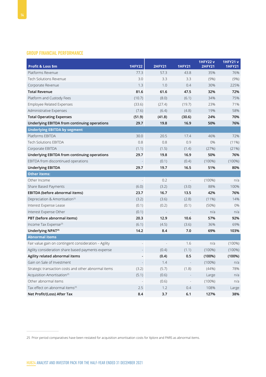## GROUP FINANCIAL PERFORMANCE

| Profit & Loss \$m                                     | <b>1HFY22</b> | <b>2HFY21</b> | <b>1HFY21</b> | <b>1HFY22v</b><br><b>2HFY21</b> | <b>1HFY21 v</b><br><b>1HFY21</b> |
|-------------------------------------------------------|---------------|---------------|---------------|---------------------------------|----------------------------------|
| Platforms Revenue                                     | 77.3          | 57.3          | 43.8          | 35%                             | 76%                              |
| Tech Solutions Revenue                                | 3.0           | 3.3           | 3.3           | (9%)                            | (9%)                             |
| Corporate Revenue                                     | 1.3           | 1.0           | 0.4           | 30%                             | 225%                             |
| <b>Total Revenue</b>                                  | 81.6          | 61.6          | 47.5          | 32%                             | 72%                              |
| Platform and Custody Fees                             | (10.7)        | (8.0)         | (6.1)         | 34%                             | 75%                              |
| <b>Employee Related Expenses</b>                      | (33.6)        | (27.4)        | (19.7)        | 23%                             | 71%                              |
| Administrative Expenses                               | (7.6)         | (6.4)         | (4.8)         | 19%                             | 58%                              |
| <b>Total Operating Expenses</b>                       | (51.9)        | (41.8)        | (30.6)        | 24%                             | 70%                              |
| Underlying EBITDA from continuing operations          | 29.7          | 19.8          | 16.9          | 50%                             | 76%                              |
| <b>Underlying EBITDA by segment</b>                   |               |               |               |                                 |                                  |
| Platforms EBITDA                                      | 30.0          | 20.5          | 17.4          | 46%                             | 72%                              |
| <b>Tech Solutions EBITDA</b>                          | 0.8           | 0.8           | 0.9           | 0%                              | $(11\%)$                         |
| Corporate EBITDA                                      | (1.1)         | (1.5)         | (1.4)         | (27%)                           | (21%)                            |
| Underlying EBITDA from continuing operations          | 29.7          | 19.8          | 16.9          | 50%                             | 76%                              |
| EBITDA from discontinued operations                   |               | (0.1)         | (0.4)         | (100%)                          | (100%)                           |
| <b>Underlying EBITDA</b>                              | 29.7          | 19.7          | 16.5          | 51%                             | 80%                              |
| <b>Other items:</b>                                   |               |               |               |                                 |                                  |
| Other Income                                          |               | 0.2           |               | $(100\%)$                       | n/a                              |
| Share Based Payments                                  | (6.0)         | (3.2)         | (3.0)         | 88%                             | 100%                             |
| EBITDA (before abnormal items)                        | 23.7          | 16.7          | 13.5          | 42%                             | 76%                              |
| Depreciation & Amortisation <sup>25</sup>             | (3.2)         | (3.6)         | (2.8)         | $(11\%)$                        | 14%                              |
| Interest Expense Lease                                | (0.1)         | (0.2)         | (0.1)         | (50%)                           | 0%                               |
| Interest Expense Other                                | (0.1)         |               |               | n/a                             | n/a                              |
| PBT (before abnormal items)                           | 20.3          | 12.9          | 10.6          | 57%                             | 92%                              |
| Income Tax Expense <sup>25</sup>                      | (6.1)         | (4.5)         | (3.6)         | 36%                             | 69%                              |
| Underlying NPAT <sup>25</sup>                         | 14.2          | 8.4           | 7.0           | 69%                             | 103%                             |
| <b>Abnormal items</b>                                 |               |               |               |                                 |                                  |
| Fair value gain on contingent consideration - Agility |               |               | 1.6           | n/a                             | (100%)                           |
| Agility consideration share based payments expense    |               | (0.4)         | (1.1)         | $(100\%)$                       | (100%)                           |
| Agility related abnormal items                        |               | (0.4)         | 0.5           | (100%)                          | (100%)                           |
| Gain on Sale of Investment                            |               | 1.4           |               | $(100\%)$                       | n/a                              |
| Strategic transaction costs and other abnormal items  | (3.2)         | (5.7)         | (1.8)         | (44%)                           | 78%                              |
| Acquisition Amortisation <sup>25</sup>                | (5.1)         | (0.6)         |               | Large                           | n/a                              |
| Other abnormal items                                  |               | (0.6)         |               | (100%)                          | n/a                              |
| Tax effect on abnormal items <sup>25</sup>            | 2.5           | 1.2           | 0.4           | 108%                            | Large                            |
| Net Profit/(Loss) After Tax                           | 8.4           | 3.7           | 6.1           | 127%                            | 38%                              |

25 Prior period comparatives have been restated for acquisition amortisation costs for Xplore and PARS as abnormal items.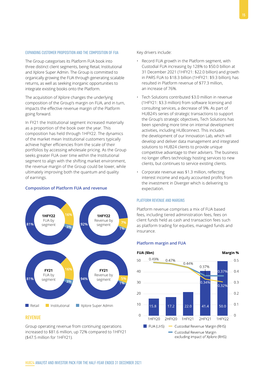#### The acquisition of Xplore changes the underlying composition of the Group's margin on FUA, and in turn,

integrate existing books onto the Platform.

impacts the effective revenue margin of the Platform going forward.

EXPANDING CUSTOMER PROPOSITION AND THE COMPOSITION OF FUA

The Group categorises its Platform FUA book into three distinct client segments, being Retail, Institutional and Xplore Super Admin. The Group is committed to organically growing the FUA through generating scalable returns, as well as seeking inorganic opportunities to

In FY21 the Institutional segment increased materially as a proportion of the book over the year. This composition has held through 1HFY22. The dynamics of the market mean Institutional customers typically achieve higher efficiencies from the scale of their portfolios by accessing wholesale pricing. As the Group seeks greater FUA over time within the Institutional segment to align with the shifting market environment, the revenue margin of the Group could be lower, while ultimately improving both the quantum and quality of earnings.

#### **Composition of Platform FUA and revenue**



#### **REVENUE**

Group operating revenue from continuing operations increased to \$81.6 million, up 72% compared to 1HFY21 (\$47.5 million for 1HFY21).

Key drivers include:

- Record FUA growth in the Platform segment, with Custodial FUA increasing by 128% to \$50.0 billion at 31 December 2021 (1HFY21: \$22.0 billion) and growth in PARS FUA to \$18.3 billion (1HFY21: \$9.3 billion), has resulted in Platform revenue of \$77.3 million, an increase of 76%.
- Tech Solutions contributed \$3.0 million in revenue (1HFY21: \$3.3 million) from software licensing and consulting services, a decrease of 9%. As part of HUB24's series of strategic transactions to support the Group's strategic objectives, Tech Solutions has been spending more time on internal development activities, including HUBconnect. This includes the development of our Innovation Lab, which will develop and deliver data management and integrated solutions to HUB24 clients to provide unique competitive advantage to their advisers. The business no longer offers technology hosting services to new clients, but continues to service existing clients.
- Corporate revenue was \$1.3 million, reflecting interest income and equity accounted profits from the investment in Diverger which is delivering to expectation.

#### PLATFORM REVENUE AND MARGINS

Platform revenue comprises a mix of FUA based fees, including tiered administration fees, fees on client funds held as cash and transaction fees such as platform trading for equities, managed funds and insurance.

#### **Platform margin and FUA**



## Margin %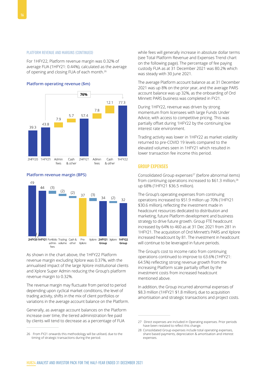#### PLATFORM REVENUE AND MARGINS (CONTINUED)

For 1HFY22, Platform revenue margin was 0.32% of average FUA (1HFY21: 0.44%), calculated as the average of opening and closing FUA of each month.26

#### **Platform operating revenue (\$m)**



#### **Platform revenue margin (BPS)**



As shown in the chart above, the 1HFY22 Platform revenue margin excluding Xplore was 0.37%, with the annualised impact of the large Xplore institutional clients and Xplore Super Admin reducing the Group's platform revenue margin to 0.32%.

The revenue margin may fluctuate from period to period depending upon cyclical market conditions, the level of trading activity, shifts in the mix of client portfolios or variations in the average account balance on the Platform.

Generally, as average account balances on the Platform increase over time, the tiered administration fee paid by clients will tend to decrease as a percentage of FUA

while fees will generally increase in absolute dollar terms (see Total Platform Revenue and Expenses Trend chart on the following page). The percentage of fee paying custody FUA as at 31 December 2021 was 80.2% which was steady with 30 June 2021.

The average Platform account balance as at 31 December 2021 was up 8% on the prior year, and the average PARS account balance was up 32%, as the onboarding of Ord Minnett PARS business was completed in FY21.

During 1HFY22, revenue was driven by strong momentum from licensees with large Funds Under Advice, with access to competitive pricing. This was partially offset during 1HFY22 by the continuing low interest rate environment.

Trading activity was lower in 1HFY22 as market volatility returned to pre-COVID 19 levels compared to the elevated volumes seen in 1HFY21 which resulted in lower transaction fee income this period.

#### GROUP EXPENSES

Consolidated Group expenses<sup>27</sup> (before abnormal items) from continuing operations increased to \$61.3 million,<sup>28</sup> up 68% (1HFY21 \$36.5 million).

The Group's operating expenses from continuing operations increased to \$51.9 million up 70% (1HFY21 \$30.6 million), reflecting the investment made in headcount resources dedicated to distribution and marketing, future Platform development and business strategy to drive future growth. Group FTE headcount increased by 64% to 460 as at 31 Dec 2021 from 281 in 1HFY21. The acquisition of Ord Minnett's PARS and Xplore increased headcount by 81. The investment in headcount will continue to be leveraged in future periods.

The Group's cost to income ratio from continuing operations continued to improve to 63.6% (1HFY21: 64.5%) reflecting strong revenue growth from the increasing Platform scale partially offset by the investment costs from increased headcount mentioned above.

In addition, the Group incurred abnormal expenses of \$8.3 million (1HFY21 \$1.8 million), due to acquisition amortisation and strategic transactions and project costs.

<sup>26</sup> From FY21 onwards this methodology will be utilised, due to the timing of strategic transactions during the period.

<sup>27</sup> Direct expenses are included in Operating expenses. Prior periods have been restated to reflect this change.

<sup>28</sup> Consolidated Group expenses include total operating expenses, share based payments, depreciation & amortisation and interest expenses.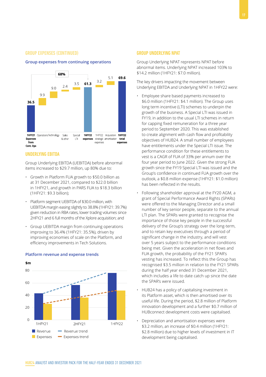#### GROUP EXPENSES (CONTINUED)





#### UNDERLYING EBITDA

Group Underlying EBITDA (UEBITDA) before abnormal items increased to \$29.7 million, up 80% due to:

- Growth in Platform FUA growth to \$50.0 billion as at 31 December 2021, compared to \$22.0 billion in 1HFY21, and growth in PARS FUA to \$18.3 billion (1HFY21: \$9.3 billion);
- Platform segment UEBITDA of \$30.0 million, with UEBITDA margin easing slightly to 38.8% (1HFY21: 39.7%) given reduction in RBA rates, lower trading volumes since 2HFY21 and 6 full months of the Xplore acquisition; and
- Group UEBITDA margin from continuing operations improving to 36.4% (1HFY21: 35.5%), driven by improving economies of scale on the Platform, and efficiency improvements in Tech Solutions.



#### **Platform revenue and expense trends**

#### GROUP UNDERLYING NPAT

Group Underlying NPAT represents NPAT before abnormal items. Underlying NPAT increased 103% to \$14.2 million (1HFY21: \$7.0 million).

The key drivers impacting the movement between Underlying EBITDA and Underlying NPAT in 1HFY22 were:

- Employee share based payments increased to \$6.0 million (1HFY21: \$4.1 million). The Group uses long term incentive (LTI) schemes to underpin the growth of the business. A Special LTI was issued in FY19, in addition to the usual LTI schemes in return for capping fixed remuneration for a three year period to September 2020. This was established to create alignment with cash flow and profitability objectives of HUB24. A small number of employees have entitlements under the Special LTI issue. The performance condition for these entitlements to vest is a CAGR of FUA of 33% per annum over the four year period to June 2022. Given the strong FUA growth since the FY19 Special LTI was issued and the Group's confidence in continued FUA growth over the outlook, a \$0.8 million expense (1HFY21: \$1.0 million) has been reflected in the results.
- Following shareholder approval at the FY20 AGM, a grant of Special Performance Award Rights (SPARs) were offered to the Managing Director and a small number of key senior people, separate to the annual LTI plan. The SPARs were granted to recognise the importance of those key people in the successful delivery of the Group's strategy over the long-term, and to retain key executives through a period of significant change in the industry, and will vest over 5 years subject to the performance conditions being met. Given the acceleration in net flows and FUA growth, the probability of the FY21 SPAR's vesting has increased. To reflect this the Group has recognised \$3.5 million in relation to the FY21 SPARs during the half year ended 31 December 2021, which includes a life to date catch up since the date the SPAR's were issued.
- HUB24 has a policy of capitalising investment in its Platform asset, which is then amortised over its useful life. During the period, \$2.8 million of Platform innovation development and a further \$0.7 million of HUBconnect development costs were capitalised.
- Depreciation and amortisation expenses were \$3.2 million, an increase of \$0.4 million (1HFY21: \$2.8 million) due to higher levels of investment in IT development being capitalised.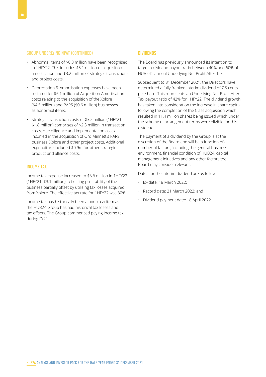#### GROUP UNDERLYING NPAT (CONTINUED)

- Abnormal items of \$8.3 million have been recognised in 1HFY22. This includes \$5.1 million of acquisition amortisation and \$3.2 million of strategic transactions and project costs.
- Depreciation & Amortisation expenses have been restated for \$5.1 million of Acquisition Amortisation costs relating to the acquisition of the Xplore (\$4.5 million) and PARS (\$0.6 million) businesses as abnormal items.
- Strategic transaction costs of \$3.2 million (1HFY21: \$1.8 million) comprises of \$2.3 million in transaction costs, due diligence and implementation costs incurred in the acquisition of Ord Minnett's PARS business, Xplore and other project costs. Additional expenditure included \$0.9m for other strategic product and alliance costs.

#### INCOME TAX

Income tax expense increased to \$3.6 million in 1HFY22 (1HFY21: \$3.1 million), reflecting profitability of the business partially offset by utilising tax losses acquired from Xplore. The effective tax rate for 1HFY22 was 30%.

Income tax has historically been a non-cash item as the HUB24 Group has had historical tax losses and tax offsets. The Group commenced paying income tax during FY21.

#### **DIVIDENDS**

The Board has previously announced its intention to target a dividend payout ratio between 40% and 60% of HUB24's annual Underlying Net Profit After Tax.

Subsequent to 31 December 2021, the Directors have determined a fully franked interim dividend of 7.5 cents per share. This represents an Underlying Net Profit After Tax payout ratio of 42% for 1HFY22. The dividend growth has taken into consideration the increase in share capital following the completion of the Class acquisition which resulted in 11.4 million shares being issued which under the scheme of arrangement terms were eligible for this dividend.

The payment of a dividend by the Group is at the discretion of the Board and will be a function of a number of factors, including the general business environment, financial condition of HUB24, capital management initiatives and any other factors the Board may consider relevant.

Dates for the interim dividend are as follows:

- Ex-date: 18 March 2022;
- Record date: 21 March 2022; and
- Dividend payment date: 18 April 2022.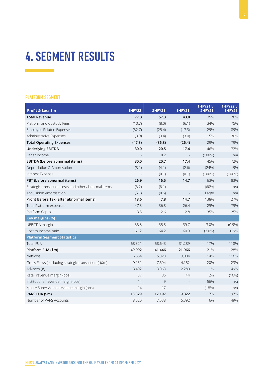## 4. SEGMENT RESULTS

### PLATFORM SEGMENT

| Profit & Loss \$m                                    | <b>1HFY22</b> | <b>2HFY21</b> | <b>1HFY21</b> | <b>1HFY21 v</b><br><b>2HFY21</b> | <b>1HFY22v</b><br><b>1HFY21</b> |
|------------------------------------------------------|---------------|---------------|---------------|----------------------------------|---------------------------------|
| <b>Total Revenue</b>                                 | 77.3          | 57.3          | 43.8          | 35%                              | 76%                             |
| Platform and Custody Fees                            | (10.7)        | (8.0)         | (6.1)         | 34%                              | 75%                             |
| <b>Employee Related Expenses</b>                     | (32.7)        | (25.4)        | (17.3)        | 29%                              | 89%                             |
| Administrative Expenses                              | (3.9)         | (3.4)         | (3.0)         | 15%                              | 30%                             |
| <b>Total Operating Expenses</b>                      | (47.3)        | (36.8)        | (26.4)        | 29%                              | 79%                             |
| <b>Underlying EBITDA</b>                             | 30.0          | 20.5          | 17.4          | 46%                              | 72%                             |
| Other Income                                         |               | 0.2           |               | $(100\%)$                        | n/a                             |
| EBITDA (before abnormal items)                       | 30.0          | 20.7          | 17.4          | 45%                              | 72%                             |
| Depreciation & Amortisation                          | (3.1)         | (4.1)         | (2.6)         | (24%)                            | 19%                             |
| Interest Expense                                     |               | (0.1)         | (0.1)         | $(100\%)$                        | $(100\%)$                       |
| PBT (before abnormal items)                          | 26.9          | 16.5          | 14.7          | 63%                              | 83%                             |
| Strategic transaction costs and other abnormal items | (3.2)         | (8.1)         |               | (60%)                            | n/a                             |
| Acquisition Amortisation                             | (5.1)         | (0.6)         |               | Large                            | n/a                             |
| Profit Before Tax (after abnormal items)             | 18.6          | 7.8           | 14.7          | 138%                             | 27%                             |
| Total Platform expenses                              | 47.3          | 36.8          | 26.4          | 29%                              | 79%                             |
| Platform Capex                                       | 3.5           | 2.6           | 2.8           | 35%                              | 25%                             |
| Key margins (%)                                      |               |               |               |                                  |                                 |
| UEBITDA margin                                       | 38.8          | 35.8          | 39.7          | 3.0%                             | (0.9%)                          |
| Cost to Income ratio                                 | 61.2          | 64.2          | 60.3          | $(3.0\%)$                        | 0.9%                            |
| <b>Platform Segment Statistics</b>                   |               |               |               |                                  |                                 |
| <b>Total FUA</b>                                     | 68,321        | 58,643        | 31,289        | 17%                              | 118%                            |
| Platform FUA (\$m)                                   | 49,992        | 41,446        | 21,966        | 21%                              | 128%                            |
| <b>Netflows</b>                                      | 6,664         | 5,828         | 3,084         | 14%                              | 116%                            |
| Gross Flows (excluding strategic transactions) (\$m) | 9,251         | 7,694         | 4,152         | 20%                              | 123%                            |
| Advisers (#)                                         | 3,402         | 3,063         | 2,280         | 11%                              | 49%                             |
| Retail revenue margin (bps)                          | 37            | 36            | 44            | 2%                               | (16%)                           |
| Institutional revenue margin (bps)                   | 14            | 9             |               | 56%                              | n/a                             |
| Xplore Super Admin revenue margin (bps)              | 14            | 17            |               | (18%)                            | n/a                             |
| PARS FUA (\$m)                                       | 18,329        | 17,197        | 9,322         | 7%                               | 97%                             |
| Number of PARS Accounts                              | 8,020         | 7,538         | 5,392         | 6%                               | 49%                             |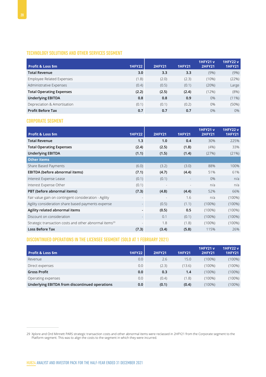## TECHNOLOGY SOLUTIONS AND OTHER SERVICES SEGMENT

|                                 |               |               |               | <b>1HFY21 v</b> | <b>1HFY22 v</b> |
|---------------------------------|---------------|---------------|---------------|-----------------|-----------------|
| <b>Profit &amp; Loss \$m</b>    | <b>1HFY22</b> | <b>2HFY21</b> | <b>1HFY21</b> | <b>2HFY21</b>   | <b>1HFY21</b>   |
| <b>Total Revenue</b>            | 3.0           | 3.3           | 3.3           | (9%)            | (9%)            |
| Employee Related Expenses       | (1.8)         | (2.0)         | (2.3)         | (10%)           | (22%)           |
| Administrative Expenses         | (0.4)         | (0.5)         | (0.1)         | (20%)           | Large           |
| <b>Total Operating Expenses</b> | (2.2)         | (2.5)         | (2.4)         | (12%)           | (8%)            |
| <b>Underlying EBITDA</b>        | 0.8           | 0.8           | 0.9           | 0%              | $(11\%)$        |
| Depreciation & Amortisation     | (0.1)         | (0.1)         | (0.2)         | 0%              | (50%)           |
| <b>Profit Before Tax</b>        | 0.7           | 0.7           | 0.7           | 0%              | 0%              |

### CORPORATE SEGMENT

| <b>Profit &amp; Loss \$m</b>                                       | <b>1HFY22</b>            | <b>2HFY21</b> | <b>1HFY21</b> | <b>1HFY21 v</b><br><b>2HFY21</b> | <b>1HFY22v</b><br><b>1HFY21</b> |
|--------------------------------------------------------------------|--------------------------|---------------|---------------|----------------------------------|---------------------------------|
| <b>Total Revenue</b>                                               | 1.3                      | 1.0           | 0.4           | 30%                              | 225%                            |
| <b>Total Operating Expenses</b>                                    | (2.4)                    | (2.5)         | (1.8)         | (4% )                            | 33%                             |
| <b>Underlying EBITDA</b>                                           | (1.1)                    | (1.5)         | (1.4)         | (27%)                            | (21%)                           |
| <b>Other items</b>                                                 |                          |               |               |                                  |                                 |
| Share Based Payments                                               | (6.0)                    | (3.2)         | (3.0)         | 88%                              | 100%                            |
| EBITDA (before abnormal items)                                     | (7.1)                    | (4.7)         | (4.4)         | 51%                              | 61%                             |
| Interest Expense Lease                                             | (0.1)                    | (0.1)         |               | 0%                               | n/a                             |
| Interest Expense Other                                             | (0.1)                    |               |               | n/a                              | n/a                             |
| PBT (before abnormal items)                                        | (7.3)                    | (4.8)         | (4.4)         | 52%                              | 66%                             |
| Fair value gain on contingent consideration - Agility              | $\overline{\phantom{a}}$ |               | 1.6           | n/a                              | $(100\%)$                       |
| Agility consideration share based payments expense                 | $\overline{\phantom{a}}$ | (0.5)         | (1.1)         | $(100\%)$                        | $(100\%)$                       |
| Agility related abnormal items                                     | $\overline{\phantom{a}}$ | (0.5)         | 0.5           | $(100\%)$                        | $(100\%)$                       |
| Discount on consideration                                          | $\overline{\phantom{a}}$ | 0.1           | (0.1)         | $(100\%)$                        | $(100\%)$                       |
| Strategic transaction costs and other abnormal items <sup>29</sup> |                          | 1.8           | (1.8)         | $(100\%)$                        | $(100\%)$                       |
| <b>Loss Before Tax</b>                                             | (7.3)                    | (3.4)         | (5.8)         | 115%                             | 26%                             |

### DISCONTINUED OPERATIONS IN THE LICENSEE SEGMENT (SOLD AT 1 FEBRUARY 2021)

| Profit & Loss \$m                              | <b>1HFY22</b> | <b>2HFY21</b> | <b>1HFY21</b> | <b>1HFY21 v</b><br><b>2HFY21</b> | <b>1HFY22 v</b><br><b>1HFY21</b> |
|------------------------------------------------|---------------|---------------|---------------|----------------------------------|----------------------------------|
| Revenue                                        | 0.0           | 2.6           | 15.0          | (100%)                           | $(100\%)$                        |
| Direct expenses                                | 0.0           | (2.3)         | (13.6)        | (100%)                           | $(100\%)$                        |
| <b>Gross Profit</b>                            | 0.0           | 0.3           | 1.4           | $(100\%)$                        | $(100\%)$                        |
| Operating expenses                             | 0.0           | (0.4)         | (1.8)         | (100%)                           | $(100\%)$                        |
| Underlying EBITDA from discontinued operations | 0.0           | (0.1)         | (0.4)         | (100%)                           | $(100\%)$                        |

<sup>29</sup> Xplore and Ord Minnett PARS strategic transaction costs and other abnormal items were reclassed in 2HFY21 from the Corporate segment to the Platform segment. This was to align the costs to the segment in which they were incurred.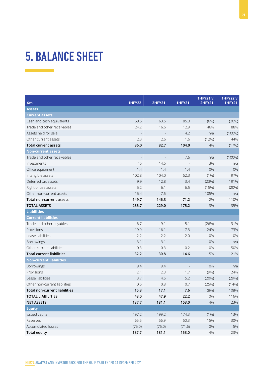## 5. BALANCE SHEET

 $\mathcal{L}^{\text{max}}_{\text{max}}$  and  $\mathcal{L}^{\text{max}}_{\text{max}}$ 

| \$m\$                                | <b>1HFY22</b>            | <b>2HFY21</b> | <b>1HFY21</b> | 1HFY21V<br><b>2HFY21</b> | <b>1HFY22v</b><br><b>1HFY21</b> |
|--------------------------------------|--------------------------|---------------|---------------|--------------------------|---------------------------------|
| <b>Assets</b>                        |                          |               |               |                          |                                 |
| <b>Current assets</b>                |                          |               |               |                          |                                 |
| Cash and cash equivalents            | 59.5                     | 63.5          | 85.3          | (6%)                     | (30%)                           |
| Trade and other receivables          | 24.2                     | 16.6          | 12.9          | 46%                      | 88%                             |
| Assets held for sale                 |                          |               | 4.2           | n/a                      | (100%)                          |
| Other current assets                 | 2.3                      | 2.6           | 1.6           | (12%)                    | 44%                             |
| <b>Total current assets</b>          | 86.0                     | 82.7          | 104.0         | 4%                       | (17%)                           |
| <b>Non-current assets</b>            |                          |               |               |                          |                                 |
| Trade and other receivables          | $\overline{\phantom{a}}$ |               | 7.6           | n/a                      | $(100\%)$                       |
| Investments                          | 15                       | 14.5          |               | 3%                       | n/a                             |
| Office equipment                     | 1.4                      | 1.4           | 1.4           | 0%                       | 0%                              |
| Intangible assets                    | 102.8                    | 104.0         | 52.3          | (1% )                    | 97%                             |
| Deferred tax assets                  | 9.9                      | 12.8          | 3.4           | (23%)                    | 191%                            |
| Right of use assets                  | 5.2                      | 6.1           | 6.5           | (15%)                    | (20%)                           |
| Other non-current assets             | 15.4                     | 7.5           |               | 105%                     | n/a                             |
| Total non-current assets             | 149.7                    | 146.3         | 71.2          | 2%                       | 110%                            |
| <b>TOTAL ASSETS</b>                  | 235.7                    | 229.0         | 175.2         | 3%                       | 35%                             |
| <b>Liabilities</b>                   |                          |               |               |                          |                                 |
| <b>Current liabilities</b>           |                          |               |               |                          |                                 |
| Trade and other payables             | 6.7                      | 9.1           | 5.1           | (26%)                    | 31%                             |
| Provisions                           | 19.9                     | 16.1          | 7.3           | 24%                      | 173%                            |
| Lease liabilities                    | 2.2                      | 2.2           | 2.0           | 0%                       | 10%                             |
| Borrowings                           | 3.1                      | 3.1           |               | 0%                       | n/a                             |
| Other current liabilities            | 0.3                      | 0.3           | 0.2           | 0%                       | 50%                             |
| <b>Total current liabilities</b>     | 32.2                     | 30.8          | 14.6          | 5%                       | 121%                            |
| <b>Non-current liabilities</b>       |                          |               |               |                          |                                 |
| <b>Borrowings</b>                    | 9.4                      | 9.4           |               | 0%                       | n/a                             |
| Provisions                           | 2.1                      | 2.3           | 1.7           | (9%)                     | 24%                             |
| Lease liabilities                    | 3.7                      | 4.6           | 5.2           | (20%)                    | (29%)                           |
| Other non-current liabilities        | 0.6                      | 0.8           | 0.7           | (25%)                    | (14%)                           |
| <b>Total non-current liabilities</b> | 15.8                     | 17.1          | 7.6           | (8%)                     | 108%                            |
| <b>TOTAL LIABILITIES</b>             | 48.0                     | 47.9          | 22.2          | 0%                       | 116%                            |
| <b>NET ASSETS</b>                    | 187.7                    | 181.1         | 153.0         | 4%                       | 23%                             |
| <b>Equity</b>                        |                          |               |               |                          |                                 |
| Issued capital                       | 197.2                    | 199.2         | 174.3         | $(1\%)$                  | 13%                             |
| Reserves                             | 65.5                     | 56.9          | 50.3          | 15%                      | 30%                             |
| Accumulated losses                   | (75.0)                   | (75.0)        | (71.6)        | 0%                       | 5%                              |
| <b>Total equity</b>                  | 187.7                    | 181.1         | 153.0         | 4%                       | 23%                             |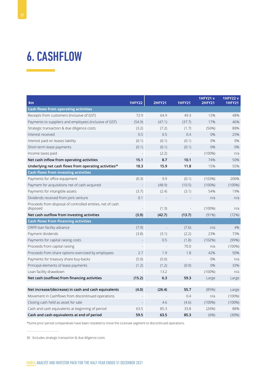## 6. CASHFLOW

| $\mathsf{sm}$                                                          | <b>1HFY22</b> | <b>2HFY21</b> | <b>1HFY21</b> | <b>1HFY21 v</b><br><b>2HFY21</b> | <b>1HFY22v</b><br><b>1HFY21</b> |
|------------------------------------------------------------------------|---------------|---------------|---------------|----------------------------------|---------------------------------|
| <b>Cash flows from operating activities</b>                            |               |               |               |                                  |                                 |
| Receipts from customers (inclusive of GST)                             | 72.9          | 64.9          | 49.3          | 12%                              | 48%                             |
| Payments to suppliers and employees (inclusive of GST)                 | (54.9)        | (47.1)        | (37.7)        | 17%                              | 46%                             |
| Strategic transaction & due diligence costs                            | (3.2)         | (7.2)         | (1.7)         | (56%)                            | 88%                             |
| Interest received                                                      | 0.5           | 0.5           | 0.4           | 0%                               | 25%                             |
| Interest paid on leases liability                                      | (0.1)         | (0.1)         | (0.1)         | 0%                               | 0%                              |
| Short-term lease payments                                              | (0.1)         | (0.1)         | (0.1)         | 0%                               | 0%                              |
| Income taxes paid                                                      |               | (2.2)         |               | $(100\%)$                        | n/a                             |
| Net cash inflow from operating activities                              | 15.1          | 8.7           | 10.1          | 74%                              | 50%                             |
| Underlying net cash flows from operating activities <sup>30</sup>      | 18.3          | 15.9          | 11.8          | 15%                              | 55%                             |
| <b>Cash flows from investing activities</b>                            |               |               |               |                                  |                                 |
| Payments for office equipment                                          | (0.3)         | 9.9           | (0.1)         | (103%)                           | 200%                            |
| Payment for acquisitions net of cash acquired                          |               | (48.9)        | (10.5)        | $(100\%)$                        | $(100\%)$                       |
| Payments for intangible assets                                         | (3.7)         | (2.4)         | (3.1)         | 54%                              | 19%                             |
| Dividends received from joint venture                                  | 0.1           |               |               | n/a                              | n/a                             |
| Proceeds from disposal of controlled entities, net of cash<br>disposed |               | (1.3)         |               | $(100\%)$                        | n/a                             |
| Net cash outflow from investing activities                             | (3.9)         | (42.7)        | (13.7)        | (91%)                            | (72%)                           |
| <b>Cash flows from financing activities</b>                            |               |               |               |                                  |                                 |
| ORFR loan facility advance                                             | (7.9)         |               | (7.6)         | n/a                              | 4%                              |
| Payment dividends                                                      | (3.8)         | (3.1)         | (2.2)         | 23%                              | 73%                             |
| Payments for capital raising costs                                     |               | 0.5           | (1.8)         | (102%)                           | (99%)                           |
| Proceeds from capital raising                                          |               |               | 70.0          | n/a                              | $(100\%)$                       |
| Proceeds from share options exercised by employees                     | 2.7           | 1.9           | 1.8           | 42%                              | 50%                             |
| Payments for treasury share buy-backs                                  | (5.0)         | (5.0)         |               | 0%                               | n/a                             |
| Principal elements of lease payments                                   | (1.2)         | (1.2)         | (0.9)         | 0%                               | 33%                             |
| Loan facility drawdown                                                 |               | 13.2          |               | $(100\%)$                        | n/a                             |
| Net cash (outflow) from financing activities                           | (15.2)        | 6.3           | 59.3          | Large                            | Large                           |
|                                                                        |               |               |               |                                  |                                 |
| Net increase/(decrease) in cash and cash equivalents                   | (4.0)         | (26.4)        | 55.7          | (85%)                            | Large                           |
| Movement in Cashflows from discontinued operations                     |               |               | 0.4           | n/a                              | $(100\%)$                       |
| Closing cash held as asset for sale                                    |               | 4.6           | (4.6)         | $(100\%)$                        | $(100\%)$                       |
| Cash and cash equivalents at beginning of period                       | 63.5          | 85.3          | 33.8          | (26%)                            | 88%                             |
| Cash and cash equivalents at end of period                             | 59.5          | 63.5          | 85.3          | (6%)                             | (30%)                           |

\*Some prior period comparatives have been restated to move the Licensee segment to discontinued operations.

30 Excludes strategic transaction & due diligence costs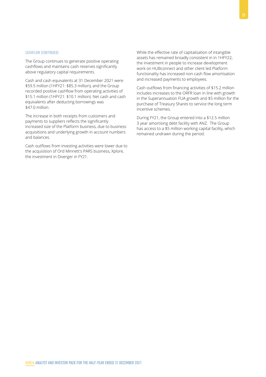#### CASHFLOW (CONTINUED)

The Group continues to generate positive operating cashflows and maintains cash reserves significantly above regulatory capital requirements.

Cash and cash equivalents at 31 December 2021 were \$59.5 million (1HFY21: \$85.3 million), and the Group recorded positive cashflow from operating activities of \$15.1 million (1HFY21: \$10.1 million). Net cash and cash equivalents after deducting borrowings was \$47.0 million.

The increase in both receipts from customers and payments to suppliers reflects the significantly increased size of the Platform business, due to business acquisitions and underlying growth in account numbers and balances.

Cash outflows from investing activities were lower due to the acquisition of Ord Minnett's PARS business, Xplore, the investment in Diverger in FY21.

While the effective rate of capitalisation of intangible assets has remained broadly consistent in in 1HFY22, the investment in people to increase development work on HUBconnect and other client led Platform functionality has increased non-cash flow amortisation and increased payments to employees.

Cash outflows from financing activities of \$15.2 million includes increases to the ORFR loan in line with growth in the Superannuation FUA growth and \$5 million for the purchase of Treasury Shares to service the long term incentive schemes.

During FY21, the Group entered into a \$12.5 million 3 year amortising debt facility with ANZ. The Group has access to a \$5 million working capital facility, which remained undrawn during the period.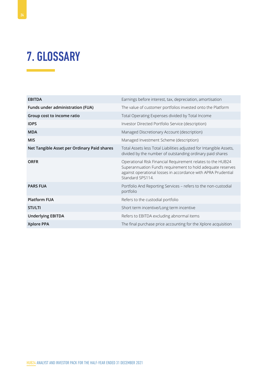## 7. GLOSSARY

| <b>EBITDA</b>                               | Earnings before interest, tax, depreciation, amortisation                                                                                                                                                       |
|---------------------------------------------|-----------------------------------------------------------------------------------------------------------------------------------------------------------------------------------------------------------------|
| Funds under administration (FUA)            | The value of customer portfolios invested onto the Platform                                                                                                                                                     |
| Group cost to income ratio                  | Total Operating Expenses divided by Total Income                                                                                                                                                                |
| <b>IDPS</b>                                 | Investor Directed Portfolio Service (description)                                                                                                                                                               |
| <b>MDA</b>                                  | Managed Discretionary Account (description)                                                                                                                                                                     |
| <b>MIS</b>                                  | Managed Investment Scheme (description)                                                                                                                                                                         |
| Net Tangible Asset per Ordinary Paid shares | Total Assets less Total Liabilities adjusted for Intangible Assets,<br>divided by the number of outstanding ordinary paid shares                                                                                |
| <b>ORFR</b>                                 | Operational Risk Financial Requirement relates to the HUB24<br>Superannuation Fund's requirement to hold adequate reserves<br>against operational losses in accordance with APRA Prudential<br>Standard SPS114. |
| <b>PARS FUA</b>                             | Portfolio And Reporting Services - refers to the non-custodial<br>portfolio                                                                                                                                     |
| <b>Platform FUA</b>                         | Refers to the custodial portfolio                                                                                                                                                                               |
| STI/LTI                                     | Short term incentive/Long term incentive                                                                                                                                                                        |
| <b>Underlying EBITDA</b>                    | Refers to EBITDA excluding abnormal items                                                                                                                                                                       |
| Xplore PPA                                  | The final purchase price accounting for the Xplore acquisition                                                                                                                                                  |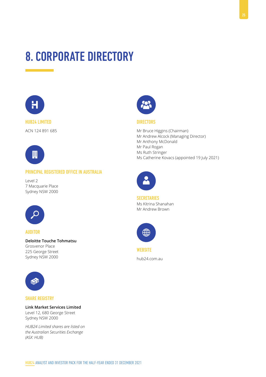## 8. CORPORATE DIRECTORY



## HUB24 LIMITED

ACN 124 891 685



### PRINCIPAL REGISTERED OFFICE IN AUSTRALIA

Level 2 7 Macquarie Place Sydney NSW 2000



#### AUDITOR

**Deloitte Touche Tohmatsu** Grosvenor Place 225 George Street Sydney NSW 2000



#### SHARE REGISTRY

### **Link Market Services Limited**

Level 12, 680 George Street Sydney NSW 2000

*HUB24 Limited shares are listed on the Australian Securities Exchange (ASX: HUB)*



#### DIRECTORS

Mr Bruce Higgins (Chairman) Mr Andrew Alcock (Managing Director) Mr Anthony McDonald Mr Paul Rogan Ms Ruth Stringer Ms Catherine Kovacs (appointed 19 July 2021)



**SECRETARIES** Ms Kitrina Shanahan Mr Andrew Brown



**WEBSITE** 

hub24.com.au